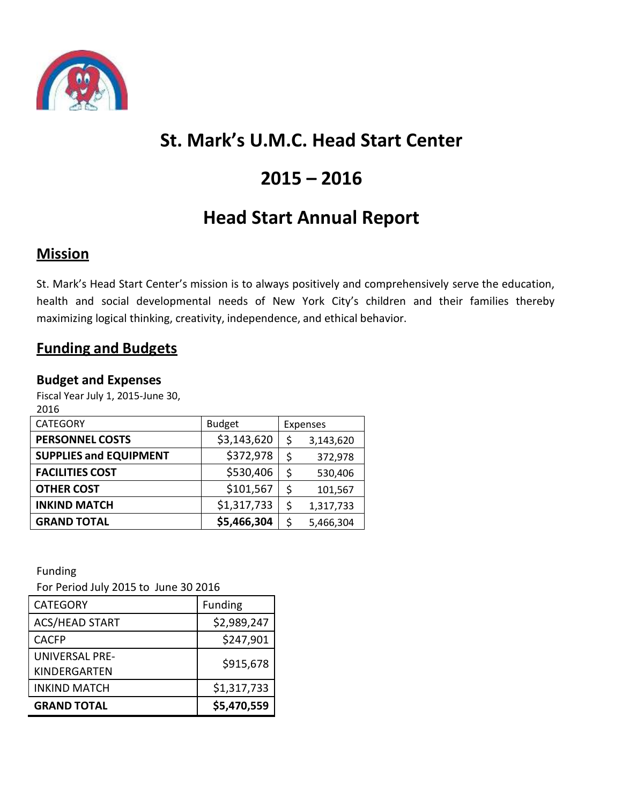

# **St. Mark's U.M.C. Head Start Center**

# **2015 – 2016**

# **Head Start Annual Report**

### **Mission**

St. Mark's Head Start Center's mission is to always positively and comprehensively serve the education, health and social developmental needs of New York City's children and their families thereby maximizing logical thinking, creativity, independence, and ethical behavior.

### **Funding and Budgets**

### **Budget and Expenses**

Fiscal Year July 1, 2015-June 30, 2016

| <b>CATEGORY</b>               | <b>Budget</b> | Expenses |           |
|-------------------------------|---------------|----------|-----------|
| <b>PERSONNEL COSTS</b>        | \$3,143,620   | \$       | 3,143,620 |
| <b>SUPPLIES and EQUIPMENT</b> | \$372,978     | \$       | 372,978   |
| <b>FACILITIES COST</b>        | \$530,406     | \$       | 530,406   |
| <b>OTHER COST</b>             | \$101,567     | \$       | 101,567   |
| <b>INKIND MATCH</b>           | \$1,317,733   | \$       | 1,317,733 |
| <b>GRAND TOTAL</b>            | \$5,466,304   | \$       | 5,466,304 |

Funding

For Period July 2015 to June 30 2016

| <b>CATEGORY</b>                              | <b>Funding</b> |
|----------------------------------------------|----------------|
| <b>ACS/HEAD START</b>                        | \$2,989,247    |
| <b>CACFP</b>                                 | \$247,901      |
| <b>UNIVERSAL PRE-</b><br><b>KINDERGARTEN</b> | \$915,678      |
| <b>INKIND MATCH</b>                          | \$1,317,733    |
| <b>GRAND TOTAL</b>                           | \$5,470,559    |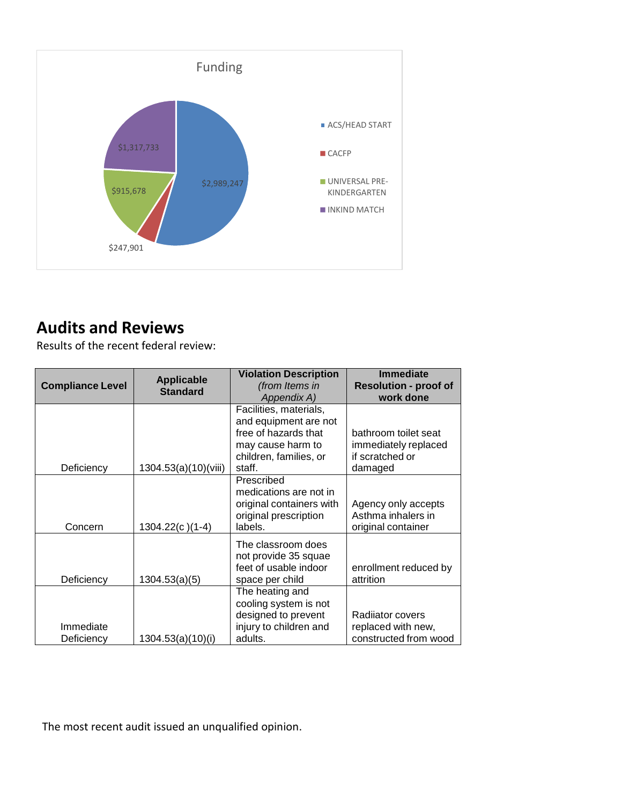

## **Audits and Reviews**

Results of the recent federal review:

| <b>Compliance Level</b> | <b>Applicable</b><br><b>Standard</b> | <b>Violation Description</b><br>(from Items in | <b>Immediate</b><br><b>Resolution - proof of</b> |
|-------------------------|--------------------------------------|------------------------------------------------|--------------------------------------------------|
|                         |                                      | Appendix A)                                    | work done                                        |
|                         |                                      | Facilities, materials,                         |                                                  |
|                         |                                      | and equipment are not                          |                                                  |
|                         |                                      | free of hazards that                           | bathroom toilet seat                             |
|                         |                                      | may cause harm to                              | immediately replaced                             |
|                         |                                      | children, families, or                         | if scratched or                                  |
| Deficiency              | 1304.53(a)(10)(viii)                 | staff.                                         | damaged                                          |
|                         |                                      | Prescribed                                     |                                                  |
|                         |                                      | medications are not in                         |                                                  |
|                         |                                      | original containers with                       | Agency only accepts                              |
|                         |                                      | original prescription                          | Asthma inhalers in                               |
| Concern                 | 1304.22(c)(1-4)                      | labels.                                        | original container                               |
|                         |                                      | The classroom does                             |                                                  |
|                         |                                      | not provide 35 squae                           |                                                  |
|                         |                                      | feet of usable indoor                          | enrollment reduced by                            |
| Deficiency              | 1304.53(a)(5)                        | space per child                                | attrition                                        |
|                         |                                      | The heating and                                |                                                  |
|                         |                                      | cooling system is not                          |                                                  |
|                         |                                      | designed to prevent                            | Radiiator covers                                 |
| Immediate               |                                      | injury to children and                         | replaced with new,                               |
| Deficiency              | 1304.53(a)(10)(i)                    | adults.                                        | constructed from wood                            |

The most recent audit issued an unqualified opinion.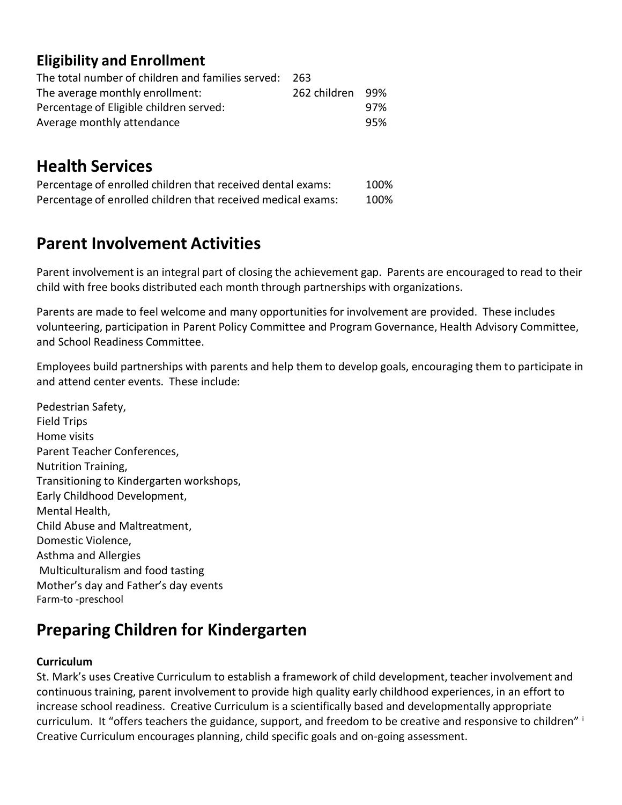### **Eligibility and Enrollment**

| The total number of children and families served: | -263             |     |
|---------------------------------------------------|------------------|-----|
| The average monthly enrollment:                   | 262 children 99% |     |
| Percentage of Eligible children served:           |                  | 97% |
| Average monthly attendance                        |                  | 95% |

### **Health Services**

| Percentage of enrolled children that received dental exams:  | 100% |
|--------------------------------------------------------------|------|
| Percentage of enrolled children that received medical exams: | 100% |

## **Parent Involvement Activities**

Parent involvement is an integral part of closing the achievement gap. Parents are encouraged to read to their child with free books distributed each month through partnerships with organizations.

Parents are made to feel welcome and many opportunities for involvement are provided. These includes volunteering, participation in Parent Policy Committee and Program Governance, Health Advisory Committee, and School Readiness Committee.

Employees build partnerships with parents and help them to develop goals, encouraging them to participate in and attend center events. These include:

Pedestrian Safety, Field Trips Home visits Parent Teacher Conferences, Nutrition Training, Transitioning to Kindergarten workshops, Early Childhood Development, Mental Health, Child Abuse and Maltreatment, Domestic Violence, Asthma and Allergies Multiculturalism and food tasting Mother's day and Father's day events Farm-to -preschool

## **Preparing Children for Kindergarten**

### **Curriculum**

St. Mark's uses Creative Curriculum to establish a framework of child development, teacher involvement and continuous training, parent involvement to provide high quality early childhood experiences, in an effort to increase school readiness. Creative Curriculum is a scientifically based and developmentally appropriate curriculum. It "offers teachers the guidance, support, and freedom to be creative and responsive to children" i Creative Curriculum encourages planning, child specific goals and on-going assessment.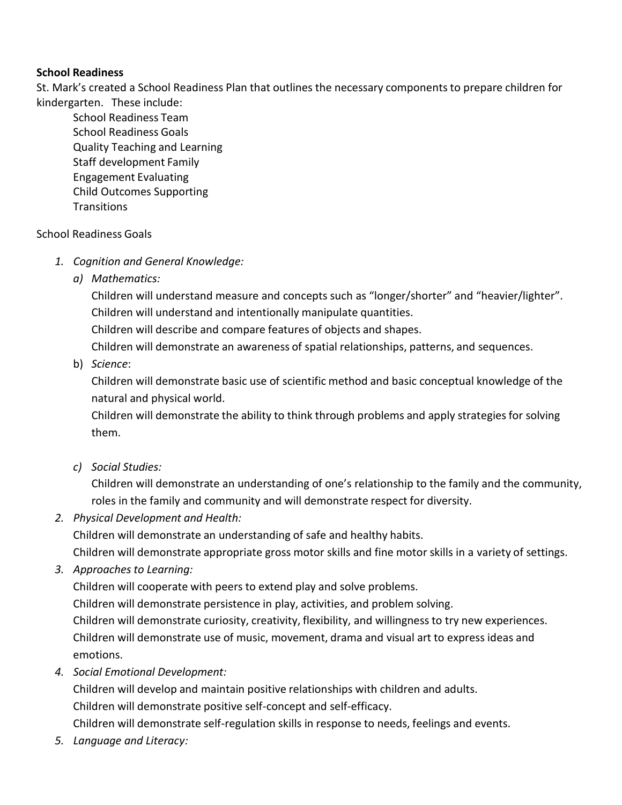#### **School Readiness**

St. Mark's created a School Readiness Plan that outlines the necessary components to prepare children for kindergarten. These include:

School Readiness Team School Readiness Goals Quality Teaching and Learning Staff development Family Engagement Evaluating Child Outcomes Supporting **Transitions** 

#### School Readiness Goals

- *1. Cognition and General Knowledge:*
	- *a) Mathematics:*

Children will understand measure and concepts such as "longer/shorter" and "heavier/lighter". Children will understand and intentionally manipulate quantities.

Children will describe and compare features of objects and shapes.

Children will demonstrate an awareness of spatial relationships, patterns, and sequences.

#### b) *Science*:

Children will demonstrate basic use of scientific method and basic conceptual knowledge of the natural and physical world.

Children will demonstrate the ability to think through problems and apply strategiesfor solving them.

*c) Social Studies:*

Children will demonstrate an understanding of one's relationship to the family and the community, roles in the family and community and will demonstrate respect for diversity.

*2. Physical Development and Health:*

Children will demonstrate an understanding of safe and healthy habits.

Children will demonstrate appropriate gross motor skills and fine motor skills in a variety of settings.

*3. Approaches to Learning:*

Children will cooperate with peers to extend play and solve problems.

Children will demonstrate persistence in play, activities, and problem solving.

Children will demonstrate curiosity, creativity, flexibility, and willingness to try new experiences.

Children will demonstrate use of music, movement, drama and visual art to express ideas and emotions.

*4. Social Emotional Development:*

Children will develop and maintain positive relationships with children and adults. Children will demonstrate positive self-concept and self-efficacy. Children will demonstrate self-regulation skills in response to needs, feelings and events.

*5. Language and Literacy:*